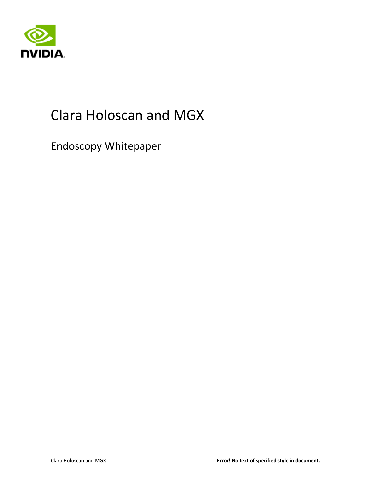

## Clara Holoscan and MGX

Endoscopy Whitepaper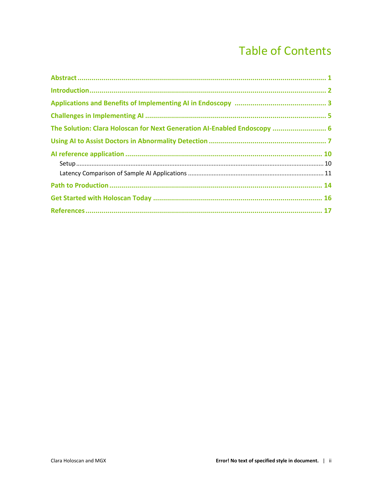### **Table of Contents**

| The Solution: Clara Holoscan for Next Generation AI-Enabled Endoscopy  6 |  |
|--------------------------------------------------------------------------|--|
|                                                                          |  |
|                                                                          |  |
|                                                                          |  |
|                                                                          |  |
|                                                                          |  |
|                                                                          |  |
|                                                                          |  |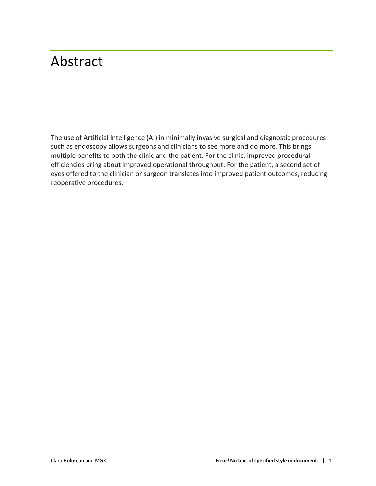## <span id="page-2-0"></span>Abstract

The use of Artificial Intelligence (AI) in minimally invasive surgical and diagnostic procedures such as endoscopy allows surgeons and clinicians to see more and do more. This brings multiple benefits to both the clinic and the patient. For the clinic, improved procedural efficiencies bring about improved operational throughput. For the patient, a second set of eyes offered to the clinician or surgeon translates into improved patient outcomes, reducing reoperative procedures.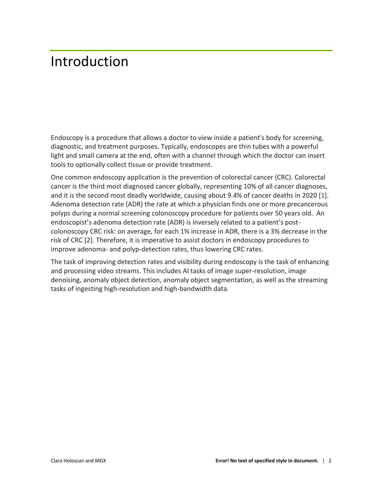### <span id="page-3-0"></span>Introduction

Endoscopy is a procedure that allows a doctor to view inside a patient's body for screening, diagnostic, and treatment purposes. Typically, endoscopes are thin tubes with a powerful light and small camera at the end, often with a channel through which the doctor can insert tools to optionally collect tissue or provide treatment.

One common endoscopy application is the prevention of colorectal cancer (CRC). Colorectal cancer is the third most diagnosed cancer globally, representing 10% of all cancer diagnoses, and it is the second most deadly worldwide, causing about 9.4% of cancer deaths in 2020 [1]. Adenoma detection rate (ADR) the rate at which a physician finds one or more precancerous polyps during a normal screening colonoscopy procedure for patients over 50 years old. An endoscopist's adenoma detection rate (ADR) is inversely related to a patient's postcolonoscopy CRC risk: on average, for each 1% increase in ADR, there is a 3% decrease in the risk of CRC [2]. Therefore, it is imperative to assist doctors in endoscopy procedures to improve adenoma- and polyp-detection rates, thus lowering CRC rates.

The task of improving detection rates and visibility during endoscopy is the task of enhancing and processing video streams. This includes AI tasks of image super-resolution, image denoising, anomaly object detection, anomaly object segmentation, as well as the streaming tasks of ingesting high-resolution and high-bandwidth data.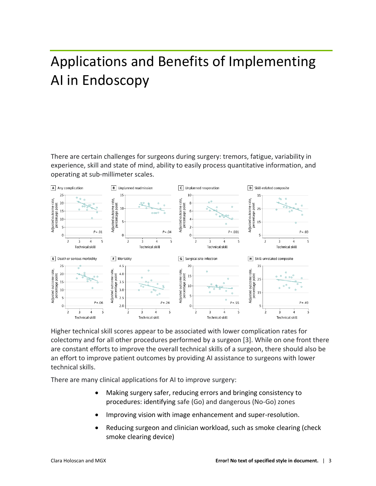# <span id="page-4-0"></span>Applications and Benefits of Implementing AI in Endoscopy

There are certain challenges for surgeons during surgery: tremors, fatigue, variability in experience, skill and state of mind, ability to easily process quantitative information, and operating at sub-millimeter scales.



Higher technical skill scores appear to be associated with lower complication rates for colectomy and for all other procedures performed by a surgeon [3]. While on one front there are constant efforts to improve the overall technical skills of a surgeon, there should also be an effort to improve patient outcomes by providing AI assistance to surgeons with lower technical skills.

There are many clinical applications for AI to improve surgery:

- Making surgery safer, reducing errors and bringing consistency to procedures: identifying safe (Go) and dangerous (No-Go) zones
- Improving vision with image enhancement and super-resolution.
- Reducing surgeon and clinician workload, such as smoke clearing (check smoke clearing device)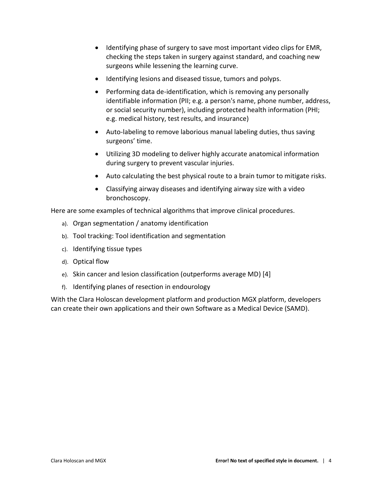- Identifying phase of surgery to save most important video clips for EMR, checking the steps taken in surgery against standard, and coaching new surgeons while lessening the learning curve.
- Identifying lesions and diseased tissue, tumors and polyps.
- Performing data de-identification, which is removing any personally identifiable information (PII; e.g. a person's name, phone number, address, or social security number), including protected health information (PHI; e.g. medical history, test results, and insurance)
- Auto-labeling to remove laborious manual labeling duties, thus saving surgeons' time.
- Utilizing 3D modeling to deliver highly accurate anatomical information during surgery to prevent vascular injuries.
- Auto calculating the best physical route to a brain tumor to mitigate risks.
- Classifying airway diseases and identifying airway size with a video bronchoscopy.

Here are some examples of technical algorithms that improve clinical procedures.

- a). Organ segmentation / anatomy identification
- b). Tool tracking: Tool identification and segmentation
- c). Identifying tissue types
- d). Optical flow
- e). Skin cancer and lesion classification (outperforms average MD) [4]
- f). Identifying planes of resection in endourology

With the Clara Holoscan development platform and production MGX platform, developers can create their own applications and their own Software as a Medical Device (SAMD).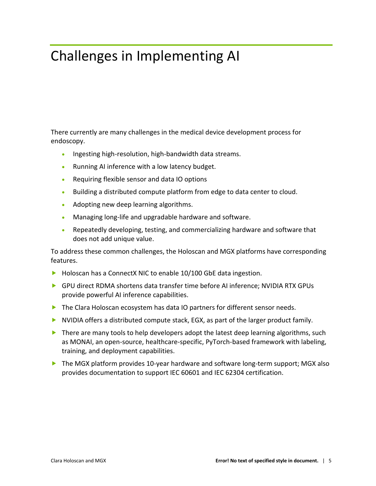## <span id="page-6-0"></span>Challenges in Implementing AI

There currently are many challenges in the medical device development process for endoscopy.

- Ingesting high-resolution, high-bandwidth data streams.
- Running AI inference with a low latency budget.
- Requiring flexible sensor and data IO options
- Building a distributed compute platform from edge to data center to cloud.
- Adopting new deep learning algorithms.
- Managing long-life and upgradable hardware and software.
- Repeatedly developing, testing, and commercializing hardware and software that does not add unique value.

To address these common challenges, the Holoscan and MGX platforms have corresponding features.

- Holoscan has a ConnectX NIC to enable 10/100 GbE data ingestion.
- GPU direct RDMA shortens data transfer time before AI inference; NVIDIA RTX GPUs provide powerful AI inference capabilities.
- The Clara Holoscan ecosystem has data IO partners for different sensor needs.
- NVIDIA offers a distributed compute stack, EGX, as part of the larger product family.
- $\blacktriangleright$  There are many tools to help developers adopt the latest deep learning algorithms, such as MONAI, an open-source, healthcare-specific, PyTorch-based framework with labeling, training, and deployment capabilities.
- ▶ The MGX platform provides 10-year hardware and software long-term support; MGX also provides documentation to support IEC 60601 and IEC 62304 certification.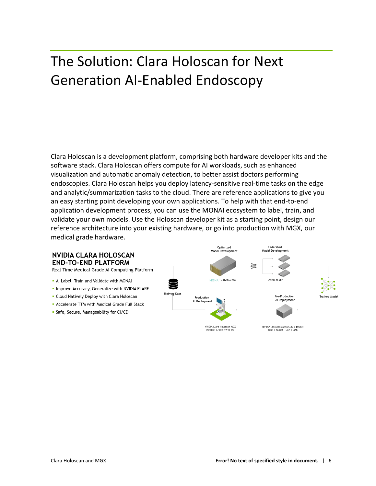## <span id="page-7-0"></span>The Solution: Clara Holoscan for Next Generation AI-Enabled Endoscopy

Clara Holoscan is a development platform, comprising both hardware developer kits and the software stack. Clara Holoscan offers compute for AI workloads, such as enhanced visualization and automatic anomaly detection, to better assist doctors performing endoscopies. Clara Holoscan helps you deploy latency-sensitive real-time tasks on the edge and analytic/summarization tasks to the cloud. There are reference applications to give you an easy starting point developing your own applications. To help with that end-to-end application development process, you can use the MONAI ecosystem to label, train, and validate your own models. Use the Holoscan developer kit as a starting point, design our reference architecture into your existing hardware, or go into production with MGX, our medical grade hardware.

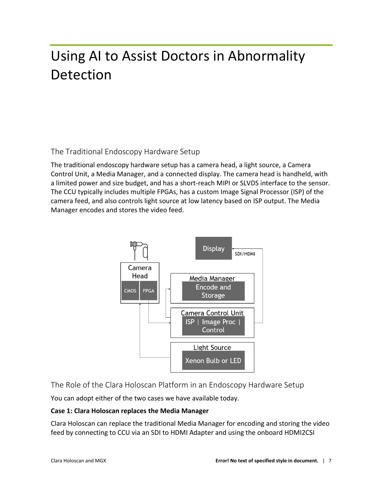# <span id="page-8-0"></span>Using AI to Assist Doctors in Abnormality Detection

The Traditional Endoscopy Hardware Setup

The traditional endoscopy hardware setup has a camera head, a light source, a Camera Control Unit, a Media Manager, and a connected display. The camera head is handheld, with a limited power and size budget, and has a short-reach MIPI or SLVDS interface to the sensor. The CCU typically includes multiple FPGAs, has a custom Image Signal Processor (ISP) of the camera feed, and also controls light source at low latency based on ISP output. The Media Manager encodes and stores the video feed.



The Role of the Clara Holoscan Platform in an Endoscopy Hardware Setup

You can adopt either of the two cases we have available today.

### **Case 1: Clara Holoscan replaces the Media Manager**

Clara Holoscan can replace the traditional Media Manager for encoding and storing the video feed by connecting to CCU via an SDI to HDMI Adapter and using the onboard HDMI2CSI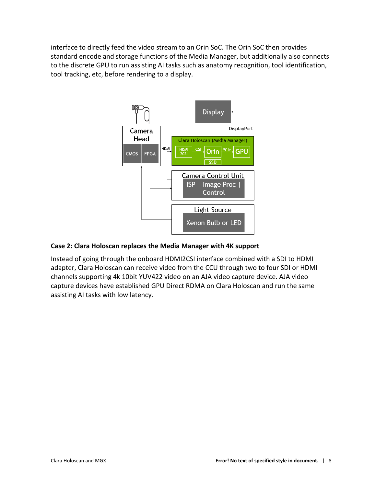interface to directly feed the video stream to an Orin SoC. The Orin SoC then provides standard encode and storage functions of the Media Manager, but additionally also connects to the discrete GPU to run assisting AI tasks such as anatomy recognition, tool identification, tool tracking, etc, before rendering to a display.



### **Case 2: Clara Holoscan replaces the Media Manager with 4K support**

Instead of going through the onboard HDMI2CSI interface combined with a SDI to HDMI adapter, Clara Holoscan can receive video from the CCU through two to four SDI or HDMI channels supporting 4k 10bit YUV422 video on an AJA video capture device. AJA video capture devices have established GPU Direct RDMA on Clara Holoscan and run the same assisting AI tasks with low latency.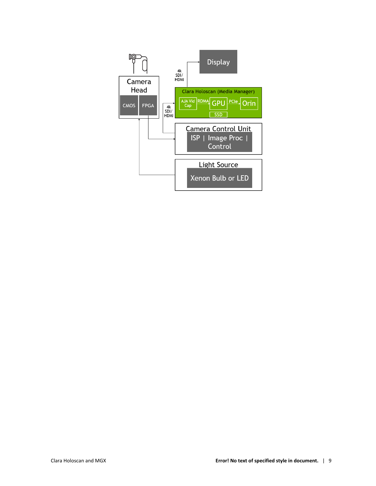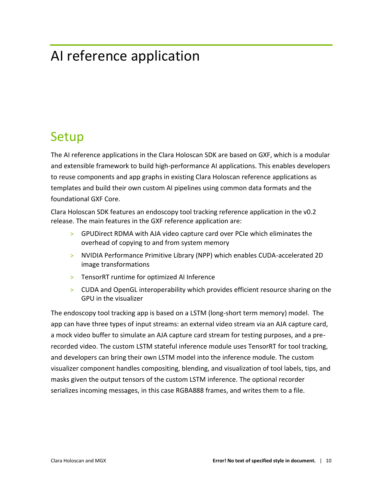## <span id="page-11-0"></span>AI reference application

### <span id="page-11-1"></span>Setup

The AI reference applications in the Clara Holoscan SDK are based on GXF, which is a modular and extensible framework to build high-performance AI applications. This enables developers to reuse components and app graphs in existing Clara Holoscan reference applications as templates and build their own custom AI pipelines using common data formats and the foundational GXF Core.

Clara Holoscan SDK features an endoscopy tool tracking reference application in the v0.2 release. The main features in the GXF reference application are:

- > GPUDirect RDMA with AJA video capture card over PCIe which eliminates the overhead of copying to and from system memory
- > NVIDIA Performance Primitive Library (NPP) which enables CUDA-accelerated 2D image transformations
- > TensorRT runtime for optimized AI Inference
- > CUDA and OpenGL interoperability which provides efficient resource sharing on the GPU in the visualizer

The endoscopy tool tracking app is based on a LSTM (long-short term memory) model. The app can have three types of input streams: an external video stream via an AJA capture card, a mock video buffer to simulate an AJA capture card stream for testing purposes, and a prerecorded video. The custom LSTM stateful inference module uses TensorRT for tool tracking, and developers can bring their own LSTM model into the inference module. The custom visualizer component handles compositing, blending, and visualization of tool labels, tips, and masks given the output tensors of the custom LSTM inference. The optional recorder serializes incoming messages, in this case RGBA888 frames, and writes them to a file.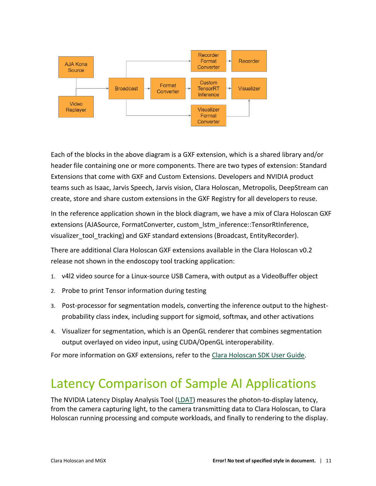

Each of the blocks in the above diagram is a GXF extension, which is a shared library and/or header file containing one or more components. There are two types of extension: Standard Extensions that come with GXF and Custom Extensions. Developers and NVIDIA product teams such as Isaac, Jarvis Speech, Jarvis vision, Clara Holoscan, Metropolis, DeepStream can create, store and share custom extensions in the GXF Registry for all developers to reuse.

In the reference application shown in the block diagram, we have a mix of Clara Holoscan GXF extensions (AJASource, FormatConverter, custom\_lstm\_inference::TensorRtInference, visualizer\_tool\_tracking) and GXF standard extensions (Broadcast, EntityRecorder).

There are additional Clara Holoscan GXF extensions available in the Clara Holoscan v0.2 release not shown in the endoscopy tool tracking application:

- 1. v4l2 video source for a Linux-source USB Camera, with output as a VideoBuffer object
- 2. Probe to print Tensor information during testing
- 3. Post-processor for segmentation models, converting the inference output to the highestprobability class index, including support for sigmoid, softmax, and other activations
- 4. Visualizer for segmentation, which is an OpenGL renderer that combines segmentation output overlayed on video input, using CUDA/OpenGL interoperability.

<span id="page-12-0"></span>For more information on GXF extensions, refer to the [Clara Holoscan SDK User Guide.](https://docs.nvidia.com/clara-holoscan/)

### Latency Comparison of Sample AI Applications

The NVIDIA Latency Display Analysis Tool [\(LDAT\)](https://developer.nvidia.com/nvidia-latency-display-analysis-tool) measures the photon-to-display latency, from the camera capturing light, to the camera transmitting data to Clara Holoscan, to Clara Holoscan running processing and compute workloads, and finally to rendering to the display.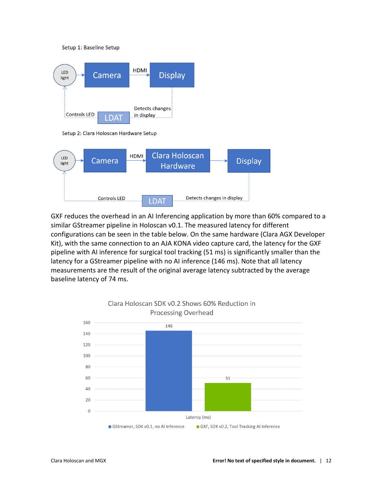Setup 1: Baseline Setup



Setup 2: Clara Holoscan Hardware Setup



GXF reduces the overhead in an AI Inferencing application by more than 60% compared to a similar GStreamer pipeline in Holoscan v0.1. The measured latency for different configurations can be seen in the table below. On the same hardware (Clara AGX Developer Kit), with the same connection to an AJA KONA video capture card, the latency for the GXF pipeline with AI inference for surgical tool tracking (51 ms) is significantly smaller than the latency for a GStreamer pipeline with no AI inference (146 ms). Note that all latency measurements are the result of the original average latency subtracted by the average baseline latency of 74 ms.

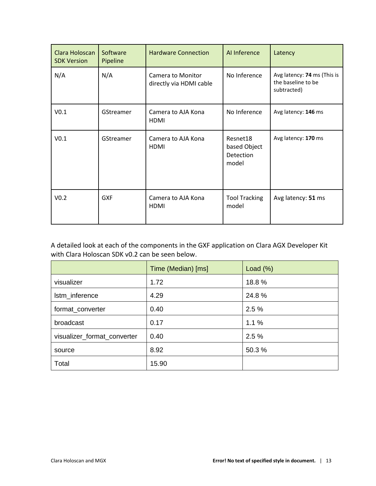| Clara Holoscan<br><b>SDK Version</b> | Software<br>Pipeline | <b>Hardware Connection</b>                          | Al Inference                                   | Latency                                                          |
|--------------------------------------|----------------------|-----------------------------------------------------|------------------------------------------------|------------------------------------------------------------------|
| N/A                                  | N/A                  | <b>Camera to Monitor</b><br>directly via HDMI cable | No Inference                                   | Avg latency: 74 ms (This is<br>the baseline to be<br>subtracted) |
| V <sub>0.1</sub>                     | GStreamer            | Camera to AJA Kona<br><b>HDMI</b>                   | No Inference                                   | Avg latency: 146 ms                                              |
| V <sub>0.1</sub>                     | GStreamer            | Camera to AJA Kona<br><b>HDMI</b>                   | Resnet18<br>based Object<br>Detection<br>model | Avg latency: 170 ms                                              |
| V <sub>0.2</sub>                     | <b>GXF</b>           | Camera to AJA Kona<br><b>HDMI</b>                   | <b>Tool Tracking</b><br>model                  | Avg latency: 51 ms                                               |

A detailed look at each of the components in the GXF application on Clara AGX Developer Kit with Clara Holoscan SDK v0.2 can be seen below.

|                             | Time (Median) [ms] | Load $(\%)$ |
|-----------------------------|--------------------|-------------|
| visualizer                  | 1.72               | 18.8%       |
| Istm_inference              | 4.29               | 24.8%       |
| format_converter            | 0.40               | 2.5%        |
| broadcast                   | 0.17               | 1.1%        |
| visualizer_format_converter | 0.40               | 2.5%        |
| source                      | 8.92               | 50.3%       |
| Total                       | 15.90              |             |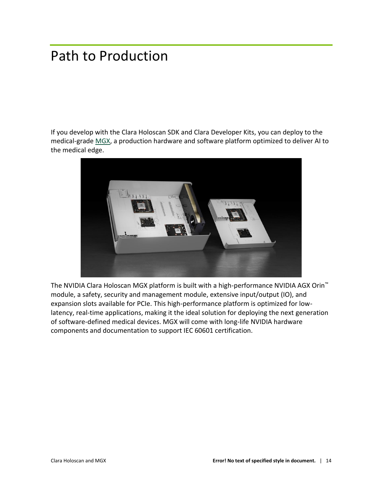## <span id="page-15-0"></span>Path to Production

If you develop with the [Clara Holoscan SDK](https://developer.nvidia.com/clara-holoscan-sdk) and [Clara Developer Kits,](https://www.nvidia.com/en-us/clara/developer-kits/) you can deploy to the medical-grade [MGX,](https://www.nvidia.com/en-us/clara/medical-grade-devices/) a production hardware and software platform optimized to deliver AI to the medical edge.



The NVIDIA Clara Holoscan MGX platform is built with a high-performance NVIDIA AGX Orin™ module, a safety, security and management module, extensive input/output (IO), and expansion slots available for PCIe. This high-performance platform is optimized for lowlatency, real-time applications, making it the ideal solution for deploying the next generation of software-defined medical devices. MGX will come with long-life NVIDIA hardware components and documentation to support IEC 60601 certification.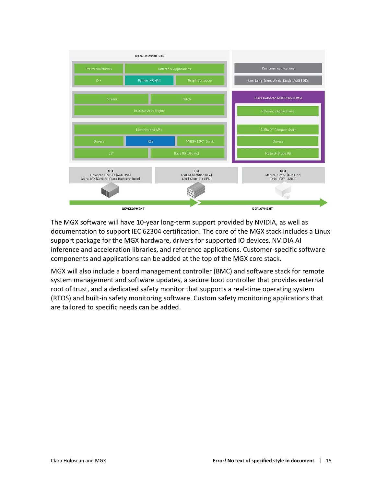

The MGX software will have 10-year long-term support provided by NVIDIA, as well as documentation to support IEC 62304 certification. The core of the MGX stack includes a Linux support package for the MGX hardware, drivers for supported IO devices, NVIDIA AI inference and acceleration libraries, and reference applications. Customer-specific software components and applications can be added at the top of the MGX core stack.

MGX will also include a board management controller (BMC) and software stack for remote system management and software updates, a secure boot controller that provides external root of trust, and a dedicated safety monitor that supports a real-time operating system (RTOS) and built-in safety monitoring software. Custom safety monitoring applications that are tailored to specific needs can be added.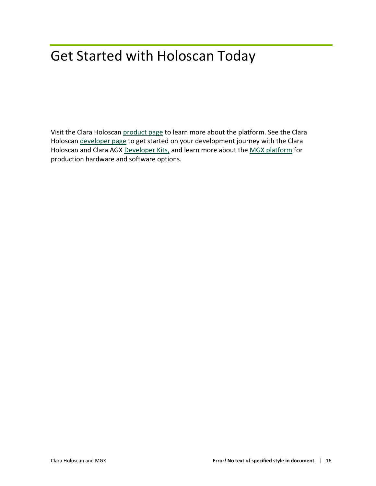## <span id="page-17-0"></span>Get Started with Holoscan Today

Visit the Clara Holoscan [product page](https://www.nvidia.com/en-us/clara/medical-devices/) to learn more about the platform. See the Clara Holoscan [developer page](https://developer.nvidia.com/clara-holoscan-sdk) to get started on your development journey with the Clara Holoscan and Clara AGX [Developer Kits,](https://www.nvidia.com/en-us/clara/developer-kits/) and learn more about the [MGX platform](https://www.nvidia.com/en-us/clara/medical-grade-devices/) for production hardware and software options.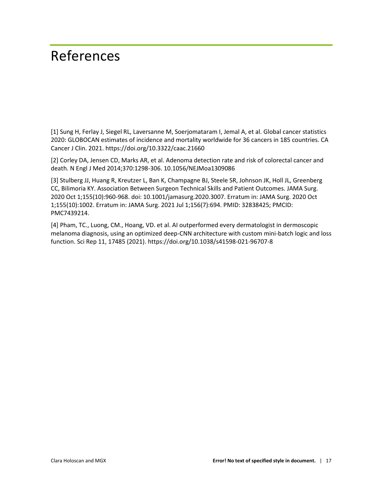### <span id="page-18-0"></span>References

[1] Sung H, Ferlay J, Siegel RL, Laversanne M, Soerjomataram I, Jemal A, et al. Global cancer statistics 2020: GLOBOCAN estimates of incidence and mortality worldwide for 36 cancers in 185 countries. CA Cancer J Clin. 2021. https://doi.org/10.3322/caac.21660

[2] Corley DA, Jensen CD, Marks AR, et al. Adenoma detection rate and risk of colorectal cancer and death. N Engl J Med 2014;370:1298-306. 10.1056/NEJMoa1309086

[3] Stulberg JJ, Huang R, Kreutzer L, Ban K, Champagne BJ, Steele SR, Johnson JK, Holl JL, Greenberg CC, Bilimoria KY. Association Between Surgeon Technical Skills and Patient Outcomes. JAMA Surg. 2020 Oct 1;155(10):960-968. doi: 10.1001/jamasurg.2020.3007. Erratum in: JAMA Surg. 2020 Oct 1;155(10):1002. Erratum in: JAMA Surg. 2021 Jul 1;156(7):694. PMID: 32838425; PMCID: PMC7439214.

[4] Pham, TC., Luong, CM., Hoang, VD. et al. AI outperformed every dermatologist in dermoscopic melanoma diagnosis, using an optimized deep-CNN architecture with custom mini-batch logic and loss function. Sci Rep 11, 17485 (2021). https://doi.org/10.1038/s41598-021-96707-8